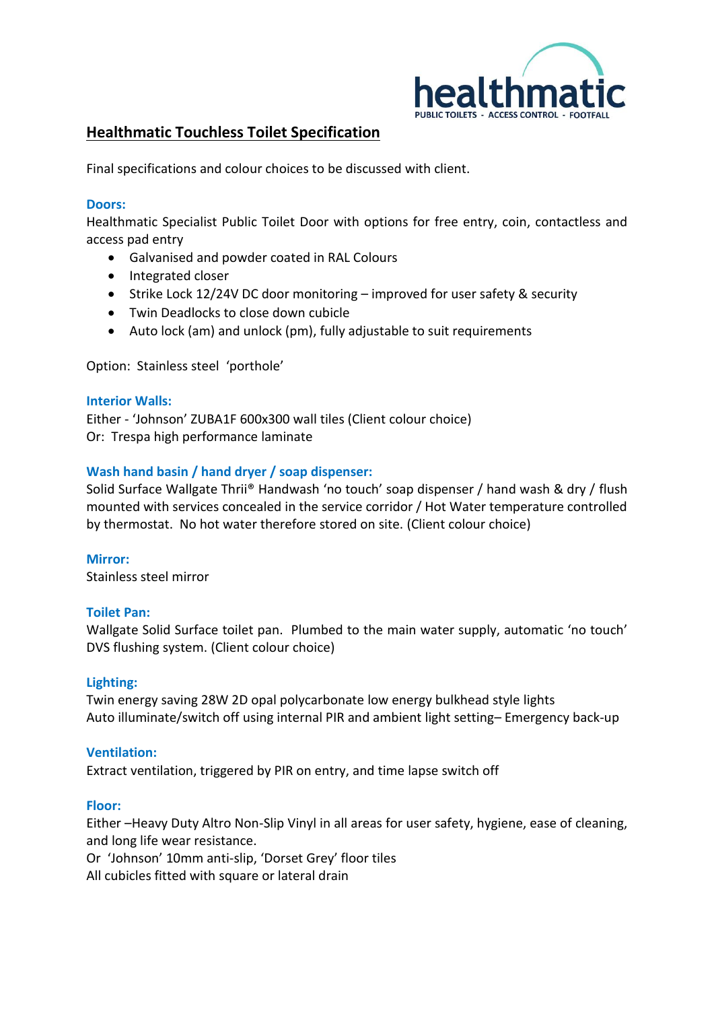

# **Healthmatic Touchless Toilet Specification**

Final specifications and colour choices to be discussed with client.

#### **Doors:**

Healthmatic Specialist Public Toilet Door with options for free entry, coin, contactless and access pad entry

- Galvanised and powder coated in RAL Colours
- Integrated closer
- Strike Lock 12/24V DC door monitoring improved for user safety & security
- Twin Deadlocks to close down cubicle
- Auto lock (am) and unlock (pm), fully adjustable to suit requirements

Option: Stainless steel 'porthole'

#### **Interior Walls:**

Either - 'Johnson' ZUBA1F 600x300 wall tiles (Client colour choice) Or: Trespa high performance laminate

### **Wash hand basin / hand dryer / soap dispenser:**

Solid Surface Wallgate Thrii® Handwash 'no touch' soap dispenser / hand wash & dry / flush mounted with services concealed in the service corridor / Hot Water temperature controlled by thermostat. No hot water therefore stored on site. (Client colour choice)

**Mirror:** Stainless steel mirror

#### **Toilet Pan:**

Wallgate Solid Surface toilet pan. Plumbed to the main water supply, automatic 'no touch' DVS flushing system. (Client colour choice)

#### **Lighting:**

Twin energy saving 28W 2D opal polycarbonate low energy bulkhead style lights Auto illuminate/switch off using internal PIR and ambient light setting– Emergency back-up

#### **Ventilation:**

Extract ventilation, triggered by PIR on entry, and time lapse switch off

#### **Floor:**

Either –Heavy Duty Altro Non-Slip Vinyl in all areas for user safety, hygiene, ease of cleaning, and long life wear resistance.

Or 'Johnson' 10mm anti-slip, 'Dorset Grey' floor tiles

All cubicles fitted with square or lateral drain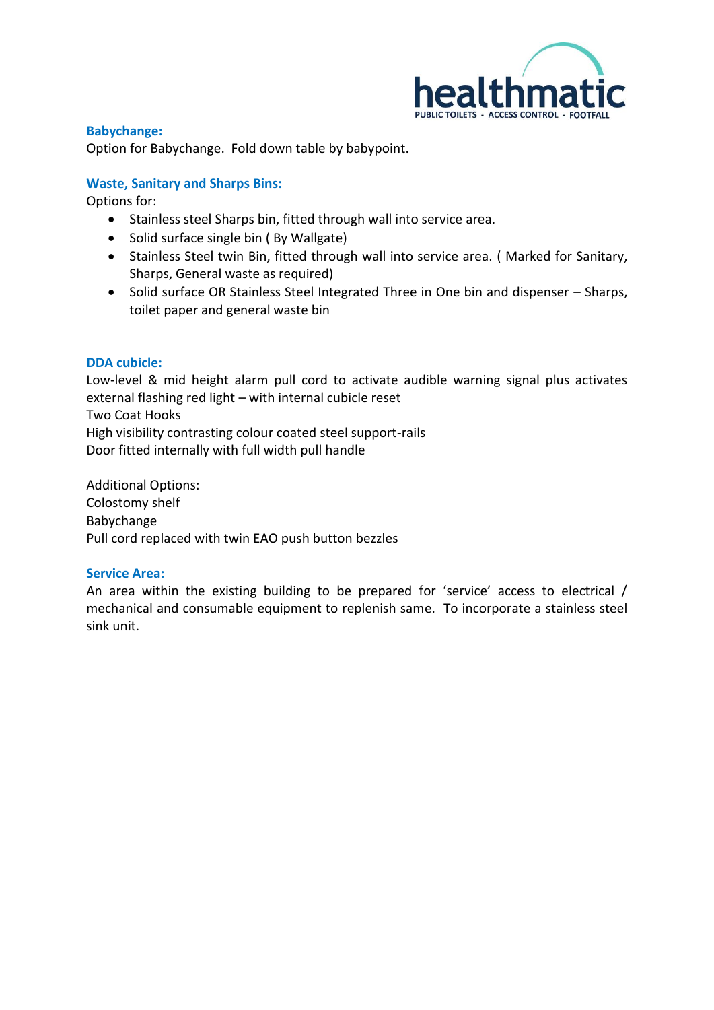

**Babychange:** Option for Babychange. Fold down table by babypoint.

## **Waste, Sanitary and Sharps Bins:**

Options for:

- Stainless steel Sharps bin, fitted through wall into service area.
- Solid surface single bin ( By Wallgate)
- Stainless Steel twin Bin, fitted through wall into service area. ( Marked for Sanitary, Sharps, General waste as required)
- Solid surface OR Stainless Steel Integrated Three in One bin and dispenser Sharps, toilet paper and general waste bin

#### **DDA cubicle:**

Low-level & mid height alarm pull cord to activate audible warning signal plus activates external flashing red light – with internal cubicle reset Two Coat Hooks High visibility contrasting colour coated steel support-rails Door fitted internally with full width pull handle

Additional Options: Colostomy shelf Babychange Pull cord replaced with twin EAO push button bezzles

#### **Service Area:**

An area within the existing building to be prepared for 'service' access to electrical / mechanical and consumable equipment to replenish same. To incorporate a stainless steel sink unit.